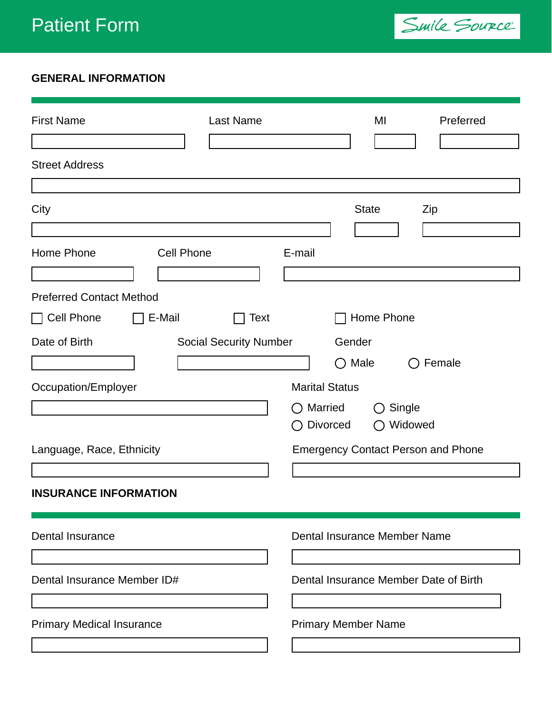

## **GENERAL INFORMATION**

| <b>First Name</b>                                                       | Last Name                     | MI                                                                             | Preferred         |  |  |
|-------------------------------------------------------------------------|-------------------------------|--------------------------------------------------------------------------------|-------------------|--|--|
| <b>Street Address</b>                                                   |                               |                                                                                |                   |  |  |
| City                                                                    |                               | <b>State</b>                                                                   | Zip               |  |  |
| Home Phone<br><b>Cell Phone</b>                                         | E-mail                        |                                                                                |                   |  |  |
| <b>Preferred Contact Method</b><br>Cell Phone<br>E-Mail<br>$\mathsf{L}$ | Text                          | Home Phone                                                                     |                   |  |  |
| Date of Birth                                                           | <b>Social Security Number</b> | Gender<br>$\bigcirc$ Male                                                      | Female            |  |  |
| Occupation/Employer                                                     | $($ )                         | <b>Marital Status</b><br>Married<br>( )<br><b>Divorced</b><br>$\left( \right)$ | Single<br>Widowed |  |  |
| Language, Race, Ethnicity                                               |                               | <b>Emergency Contact Person and Phone</b>                                      |                   |  |  |
| <b>INSURANCE INFORMATION</b>                                            |                               |                                                                                |                   |  |  |
| <b>Dental Insurance</b>                                                 |                               | Dental Insurance Member Name                                                   |                   |  |  |
| Dental Insurance Member ID#                                             |                               | Dental Insurance Member Date of Birth                                          |                   |  |  |
| <b>Primary Medical Insurance</b>                                        |                               | <b>Primary Member Name</b>                                                     |                   |  |  |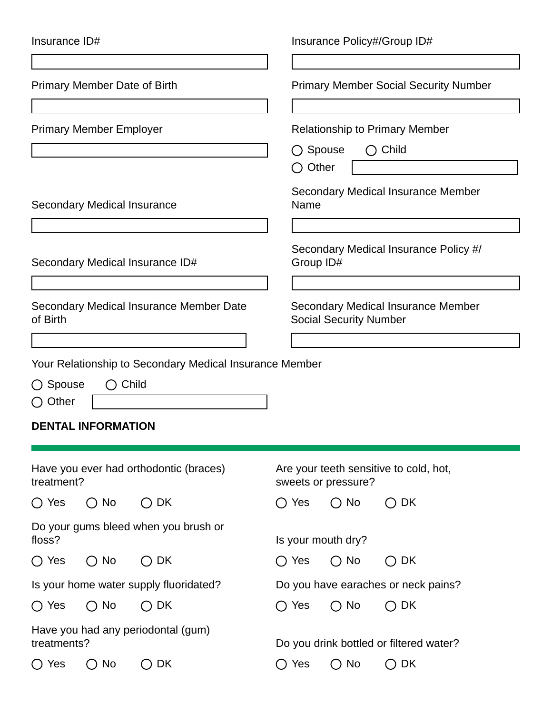| Insurance ID#                                              |                                    |                                                               | Insurance Policy#/Group ID#                                                  |                    |                                         |  |
|------------------------------------------------------------|------------------------------------|---------------------------------------------------------------|------------------------------------------------------------------------------|--------------------|-----------------------------------------|--|
| <b>Primary Member Date of Birth</b>                        |                                    |                                                               | <b>Primary Member Social Security Number</b>                                 |                    |                                         |  |
| <b>Primary Member Employer</b>                             |                                    |                                                               | <b>Relationship to Primary Member</b><br>Spouse<br>$\bigcirc$ Child<br>$($ ) |                    |                                         |  |
|                                                            |                                    |                                                               | $\bigcirc$ Other                                                             |                    |                                         |  |
|                                                            | <b>Secondary Medical Insurance</b> |                                                               | Name                                                                         |                    | Secondary Medical Insurance Member      |  |
| Secondary Medical Insurance ID#                            |                                    |                                                               | Secondary Medical Insurance Policy #/<br>Group ID#                           |                    |                                         |  |
| <b>Secondary Medical Insurance Member Date</b><br>of Birth |                                    |                                                               | <b>Secondary Medical Insurance Member</b><br><b>Social Security Number</b>   |                    |                                         |  |
|                                                            |                                    |                                                               |                                                                              |                    |                                         |  |
|                                                            |                                    | Your Relationship to Secondary Medical Insurance Member       |                                                                              |                    |                                         |  |
| ◯ Spouse<br>$\bigcirc$ Other                               | $\bigcirc$ Child                   |                                                               |                                                                              |                    |                                         |  |
|                                                            |                                    |                                                               |                                                                              |                    |                                         |  |
|                                                            | <b>DENTAL INFORMATION</b>          |                                                               |                                                                              |                    |                                         |  |
| Have you ever had orthodontic (braces)<br>treatment?       |                                    | Are your teeth sensitive to cold, hot,<br>sweets or pressure? |                                                                              |                    |                                         |  |
| $\bigcirc$ Yes                                             | $\bigcirc$ No                      | $\bigcirc$ DK                                                 | $\bigcirc$ Yes                                                               | $\bigcirc$ No      | $\bigcirc$ dk                           |  |
| floss?                                                     |                                    | Do your gums bleed when you brush or                          |                                                                              | Is your mouth dry? |                                         |  |
| $\bigcirc$ Yes                                             | $\bigcirc$ No                      | DK<br>$\left(\begin{array}{c} \end{array}\right)$             | $\bigcirc$ Yes                                                               | $\bigcirc$ No      | DK<br>$\Box$                            |  |
| Is your home water supply fluoridated?                     |                                    | Do you have earaches or neck pains?                           |                                                                              |                    |                                         |  |
| $\bigcirc$ Yes                                             | $\bigcirc$ No                      | $\bigcirc$ dk                                                 | $\bigcirc$ Yes                                                               | $\bigcirc$ No      | $\bigcirc$ DK                           |  |
| treatments?                                                |                                    | Have you had any periodontal (gum)                            |                                                                              |                    | Do you drink bottled or filtered water? |  |
| Yes<br>$\left( \begin{array}{c} \end{array} \right)$       | No                                 | DK                                                            | Yes                                                                          | No                 | $\bigcirc$ dk                           |  |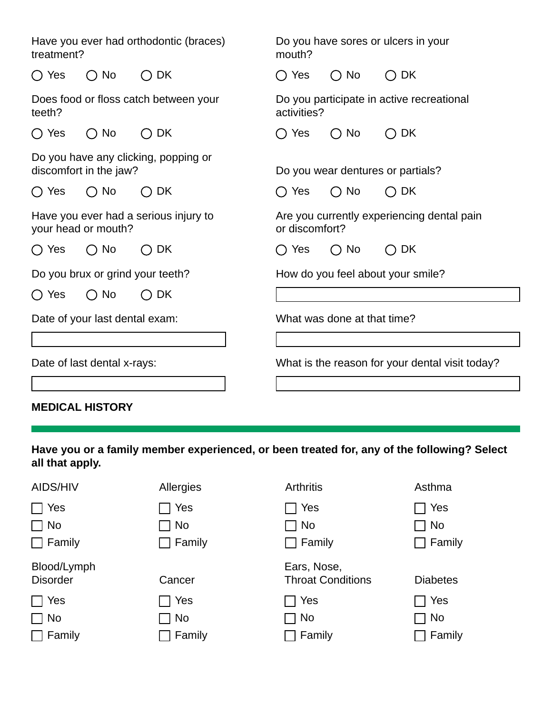| Have you ever had orthodontic (braces)<br>treatment?           |                               |                                                              | Do you have sores or ulcers in your<br>mouth? |                                                         |               |  |
|----------------------------------------------------------------|-------------------------------|--------------------------------------------------------------|-----------------------------------------------|---------------------------------------------------------|---------------|--|
| $\bigcirc$ Yes                                                 | <b>No</b><br>$\left( \right)$ | DK<br>$(\ )$                                                 | $\bigcirc$ Yes                                | No<br>$\left(\begin{matrix} 1 \\ 2 \end{matrix}\right)$ | DK.<br>( )    |  |
| Does food or floss catch between your<br>teeth?                |                               | Do you participate in active recreational<br>activities?     |                                               |                                                         |               |  |
| $\bigcirc$ Yes                                                 | $\bigcirc$ No                 | DK<br>( )                                                    | $\bigcirc$ Yes                                | No<br>( )                                               | DK<br>$\Box$  |  |
| Do you have any clicking, popping or<br>discomfort in the jaw? |                               | Do you wear dentures or partials?                            |                                               |                                                         |               |  |
| $\bigcirc$ Yes                                                 | $\bigcirc$ No                 | $\bigcirc$ DK                                                | $\bigcirc$ Yes                                | $\bigcirc$ No                                           | $\bigcirc$ DK |  |
| Have you ever had a serious injury to<br>your head or mouth?   |                               | Are you currently experiencing dental pain<br>or discomfort? |                                               |                                                         |               |  |
| $\bigcirc$ Yes                                                 | $\bigcirc$ No                 | DK.<br>$($ )                                                 | ◯ Yes                                         | No<br>$\left( \right)$                                  | DK<br>( )     |  |
| Do you brux or grind your teeth?                               |                               | How do you feel about your smile?                            |                                               |                                                         |               |  |
| $\bigcap$ Yes                                                  | $\bigcirc$ No                 | DK.                                                          |                                               |                                                         |               |  |
| Date of your last dental exam:                                 |                               | What was done at that time?                                  |                                               |                                                         |               |  |
|                                                                |                               |                                                              |                                               |                                                         |               |  |
| Date of last dental x-rays:                                    |                               | What is the reason for your dental visit today?              |                                               |                                                         |               |  |
|                                                                |                               |                                                              |                                               |                                                         |               |  |

**MEDICAL HISTORY**

**Have you or a family member experienced, or been treated for, any of the following? Select all that apply.**

| AIDS/HIV                       | Allergies     | <b>Arthritis</b>                        | Asthma          |
|--------------------------------|---------------|-----------------------------------------|-----------------|
| Yes                            | Yes           | Yes                                     | Yes             |
| $\Box$ No                      | $\sqcap$ No   | $\sqcap$ No                             | No              |
| $\Box$ Family                  | $\Box$ Family | Family                                  | Family          |
| Blood/Lymph<br><b>Disorder</b> | Cancer        | Ears, Nose,<br><b>Throat Conditions</b> | <b>Diabetes</b> |
| Yes                            | Yes           | Yes                                     | Yes             |
| $\Box$ No                      | 1 No          | No                                      | <b>No</b>       |
| $\Box$ Family                  | Family        | Family                                  | Family          |